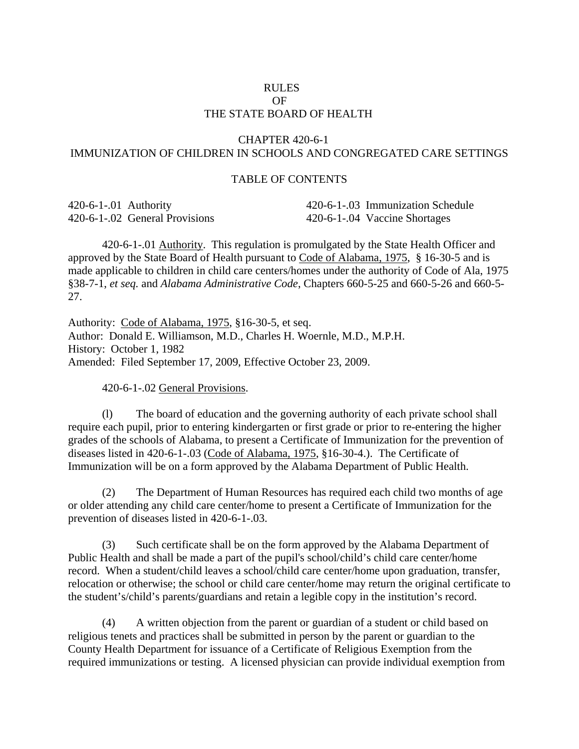## RULES OF THE STATE BOARD OF HEALTH

## CHAPTER 420-6-1 IMMUNIZATION OF CHILDREN IN SCHOOLS AND CONGREGATED CARE SETTINGS

## TABLE OF CONTENTS

| 420-6-1-0.01 Authority |                               | 420-6-1-03 Immunization Schedule |
|------------------------|-------------------------------|----------------------------------|
|                        | 420-6-1-02 General Provisions | 420-6-1-0.04 Vaccine Shortages   |

420-6-1-.01 Authority. This regulation is promulgated by the State Health Officer and approved by the State Board of Health pursuant to Code of Alabama, 1975, § 16-30-5 and is made applicable to children in child care centers/homes under the authority of Code of Ala, 1975 §38-7-1, *et seq.* and *Alabama Administrative Code*, Chapters 660-5-25 and 660-5-26 and 660-5- 27.

Authority: Code of Alabama, 1975, §16-30-5, et seq. Author: Donald E. Williamson, M.D., Charles H. Woernle, M.D., M.P.H. History: October 1, 1982 Amended: Filed September 17, 2009, Effective October 23, 2009.

420-6-1-.02 General Provisions.

(l) The board of education and the governing authority of each private school shall require each pupil, prior to entering kindergarten or first grade or prior to re-entering the higher grades of the schools of Alabama, to present a Certificate of Immunization for the prevention of diseases listed in 420-6-1-.03 (Code of Alabama, 1975, §16-30-4.). The Certificate of Immunization will be on a form approved by the Alabama Department of Public Health.

(2) The Department of Human Resources has required each child two months of age or older attending any child care center/home to present a Certificate of Immunization for the prevention of diseases listed in 420-6-1-.03.

(3) Such certificate shall be on the form approved by the Alabama Department of Public Health and shall be made a part of the pupil's school/child's child care center/home record. When a student/child leaves a school/child care center/home upon graduation, transfer, relocation or otherwise; the school or child care center/home may return the original certificate to the student's/child's parents/guardians and retain a legible copy in the institution's record.

(4) A written objection from the parent or guardian of a student or child based on religious tenets and practices shall be submitted in person by the parent or guardian to the County Health Department for issuance of a Certificate of Religious Exemption from the required immunizations or testing. A licensed physician can provide individual exemption from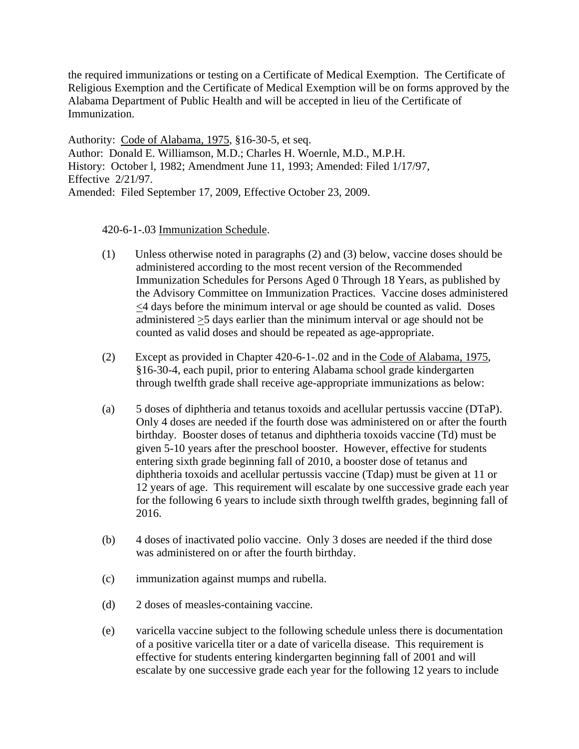the required immunizations or testing on a Certificate of Medical Exemption. The Certificate of Religious Exemption and the Certificate of Medical Exemption will be on forms approved by the Alabama Department of Public Health and will be accepted in lieu of the Certificate of Immunization.

Authority: Code of Alabama, 1975, §16-30-5, et seq. Author: Donald E. Williamson, M.D.; Charles H. Woernle, M.D., M.P.H. History: October l, 1982; Amendment June 11, 1993; Amended: Filed 1/17/97, Effective 2/21/97. Amended: Filed September 17, 2009, Effective October 23, 2009.

420-6-1-.03 Immunization Schedule.

- (1) Unless otherwise noted in paragraphs (2) and (3) below, vaccine doses should be administered according to the most recent version of the Recommended Immunization Schedules for Persons Aged 0 Through 18 Years, as published by the Advisory Committee on Immunization Practices. Vaccine doses administered <4 days before the minimum interval or age should be counted as valid. Doses administered >5 days earlier than the minimum interval or age should not be counted as valid doses and should be repeated as age-appropriate.
- (2) Except as provided in Chapter 420-6-1-.02 and in the Code of Alabama, 1975, §16-30-4, each pupil, prior to entering Alabama school grade kindergarten through twelfth grade shall receive age-appropriate immunizations as below:
- (a) 5 doses of diphtheria and tetanus toxoids and acellular pertussis vaccine (DTaP). Only 4 doses are needed if the fourth dose was administered on or after the fourth birthday. Booster doses of tetanus and diphtheria toxoids vaccine (Td) must be given 5-10 years after the preschool booster. However, effective for students entering sixth grade beginning fall of 2010, a booster dose of tetanus and diphtheria toxoids and acellular pertussis vaccine (Tdap) must be given at 11 or 12 years of age. This requirement will escalate by one successive grade each year for the following 6 years to include sixth through twelfth grades, beginning fall of 2016.
- (b) 4 doses of inactivated polio vaccine. Only 3 doses are needed if the third dose was administered on or after the fourth birthday.
- (c) immunization against mumps and rubella.
- (d) 2 doses of measles-containing vaccine.
- (e) varicella vaccine subject to the following schedule unless there is documentation of a positive varicella titer or a date of varicella disease. This requirement is effective for students entering kindergarten beginning fall of 2001 and will escalate by one successive grade each year for the following 12 years to include